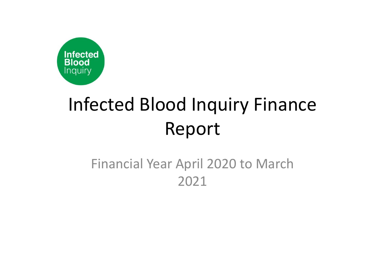

## Infected Blood Inquiry Finance Report

## Financial Year April 2020 to March 2021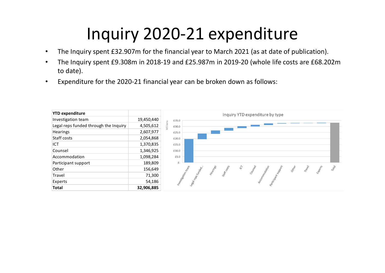## Inquiry 2020-21 expenditure

- The Inquiry spent £32.907m for the financial year to March 2021 (as at date of publication).
- The Inquiry spent £9.308m in 2018-19 and £25.987m in 2019-20 (whole life costs are £68.202m to date).
- Expenditure for the 2020-21 financial year can be broken down as follows: